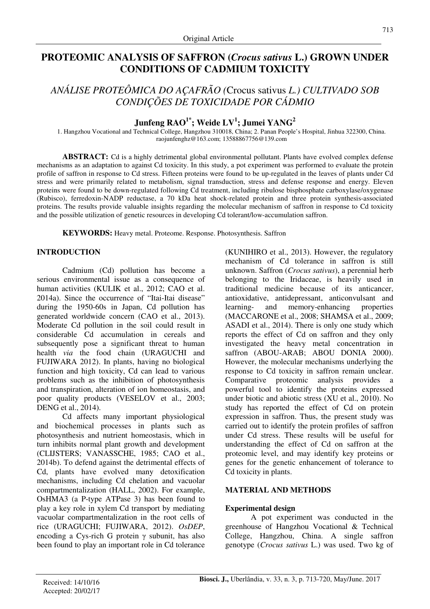# **PROTEOMIC ANALYSIS OF SAFFRON (***Crocus sativus* **L.) GROWN UNDER CONDITIONS OF CADMIUM TOXICITY**

# *ANÁLISE PROTEÔMICA DO AÇAFRÃO (*Crocus sativus *L.) CULTIVADO SOB CONDIÇÕES DE TOXICIDADE POR CÁDMIO*

# **Junfeng RAO1\*; Weide LV<sup>1</sup> ; Jumei YANG<sup>2</sup>**

1. Hangzhou Vocational and Technical College, Hangzhou 310018, China; 2. Panan People's Hospital, Jinhua 322300, China. raojunfenghz@163.com; 13588867756@139.com

**ABSTRACT:** Cd is a highly detrimental global environmental pollutant. Plants have evolved complex defense mechanisms as an adaptation to against Cd toxicity. In this study, a pot experiment was performed to evaluate the protein profile of saffron in response to Cd stress. Fifteen proteins were found to be up-regulated in the leaves of plants under Cd stress and were primarily related to metabolism, signal transduction, stress and defense response and energy. Eleven proteins were found to be down-regulated following Cd treatment, including ribulose bisphosphate carboxylase/oxygenase (Rubisco), ferredoxin-NADP reductase, a 70 kDa heat shock-related protein and three protein synthesis-associated proteins. The results provide valuable insights regarding the molecular mechanism of saffron in response to Cd toxicity and the possible utilization of genetic resources in developing Cd tolerant/low-accumulation saffron.

**KEYWORDS:** Heavy metal. Proteome. Response. Photosynthesis. Saffron

## **INTRODUCTION**

Cadmium (Cd) pollution has become a serious environmental issue as a consequence of human activities (KULIK et al., 2012; CAO et al. 2014a). Since the occurrence of "Itai-Itai disease" during the 1950-60s in Japan, Cd pollution has generated worldwide concern (CAO et al., 2013). Moderate Cd pollution in the soil could result in considerable Cd accumulation in cereals and subsequently pose a significant threat to human health *via* the food chain (URAGUCHI and FUJIWARA 2012). In plants, having no biological function and high toxicity, Cd can lead to various problems such as the inhibition of photosynthesis and transpiration, alteration of ion homeostasis, and poor quality products (VESELOV et al., 2003; DENG et al., 2014).

Cd affects many important physiological and biochemical processes in plants such as photosynthesis and nutrient homeostasis, which in turn inhibits normal plant growth and development (CLIJSTERS; VANASSCHE, 1985; CAO et al., 2014b). To defend against the detrimental effects of Cd, plants have evolved many detoxification mechanisms, including Cd chelation and vacuolar compartmentalization (HALL, 2002). For example, OsHMA3 (a P-type ATPase 3) has been found to play a key role in xylem Cd transport by mediating vacuolar compartmentalization in the root cells of rice (URAGUCHI; FUJIWARA, 2012). *OsDEP*, encoding a Cys-rich G protein  $\gamma$  subunit, has also been found to play an important role in Cd tolerance (KUNIHIRO et al., 2013). However, the regulatory mechanism of Cd tolerance in saffron is still unknown. Saffron (*Crocus sativus*), a perennial herb belonging to the Iridaceae, is heavily used in traditional medicine because of its anticancer, antioxidative, antidepressant, anticonvulsant and learning- and memory-enhancing properties (MACCARONE et al., 2008; SHAMSA et al., 2009; ASADI et al., 2014). There is only one study which reports the effect of Cd on saffron and they only investigated the heavy metal concentration in saffron (ABOU-ARAB; ABOU DONIA 2000). However, the molecular mechanisms underlying the response to Cd toxicity in saffron remain unclear. Comparative proteomic analysis provides a powerful tool to identify the proteins expressed under biotic and abiotic stress (XU et al., 2010). No study has reported the effect of Cd on protein expression in saffron. Thus, the present study was carried out to identify the protein profiles of saffron under Cd stress. These results will be useful for understanding the effect of Cd on saffron at the proteomic level, and may identify key proteins or genes for the genetic enhancement of tolerance to Cd toxicity in plants.

### **MATERIAL AND METHODS**

### **Experimental design**

A pot experiment was conducted in the greenhouse of Hangzhou Vocational & Technical College, Hangzhou, China. A single saffron genotype (*Crocus sativus* L.) was used. Two kg of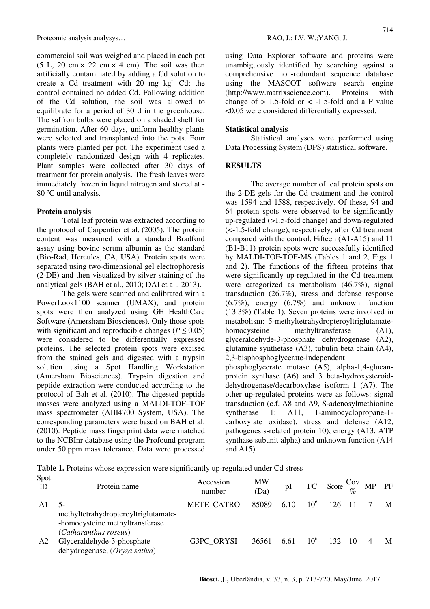Proteomic analysis analysys... RAO, J.; LV, W.; YANG, J.

commercial soil was weighed and placed in each pot  $(5 L, 20 cm \times 22 cm \times 4 cm)$ . The soil was then artificially contaminated by adding a Cd solution to create a Cd treatment with 20 mg  $kg^{-1}$  Cd; the control contained no added Cd. Following addition of the Cd solution, the soil was allowed to equilibrate for a period of 30 d in the greenhouse. The saffron bulbs were placed on a shaded shelf for germination. After 60 days, uniform healthy plants were selected and transplanted into the pots. Four plants were planted per pot. The experiment used a completely randomized design with 4 replicates. Plant samples were collected after 30 days of treatment for protein analysis. The fresh leaves were immediately frozen in liquid nitrogen and stored at - 80 ºC until analysis.

#### **Protein analysis**

Total leaf protein was extracted according to the protocol of Carpentier et al. (2005). The protein content was measured with a standard Bradford assay using bovine serum albumin as the standard (Bio-Rad, Hercules, CA, USA). Protein spots were separated using two-dimensional gel electrophoresis (2-DE) and then visualized by silver staining of the analytical gels (BAH et al., 2010; DAI et al., 2013).

The gels were scanned and calibrated with a PowerLook1100 scanner (UMAX), and protein spots were then analyzed using GE HealthCare Software (Amersham Biosciences). Only those spots with significant and reproducible changes  $(P \le 0.05)$ were considered to be differentially expressed proteins. The selected protein spots were excised from the stained gels and digested with a trypsin solution using a Spot Handling Workstation (Amersham Biosciences). Trypsin digestion and peptide extraction were conducted according to the protocol of Bah et al. (2010). The digested peptide masses were analyzed using a MALDI-TOF–TOF mass spectrometer (ABI4700 System, USA). The corresponding parameters were based on BAH et al. (2010). Peptide mass fingerprint data were matched to the NCBInr database using the Profound program under 50 ppm mass tolerance. Data were processed using Data Explorer software and proteins were unambiguously identified by searching against a comprehensive non-redundant sequence database using the MASCOT software search engine (http://www.matrixscience.com). Proteins with change of  $> 1.5$ -fold or  $< -1.5$ -fold and a P value <0.05 were considered differentially expressed.

### **Statistical analysis**

Statistical analyses were performed using Data Processing System (DPS) statistical software.

#### **RESULTS**

The average number of leaf protein spots on the 2-DE gels for the Cd treatment and the control was 1594 and 1588, respectively. Of these, 94 and 64 protein spots were observed to be significantly up-regulated (>1.5-fold change) and down-regulated (<-1.5-fold change), respectively, after Cd treatment compared with the control. Fifteen (A1-A15) and 11 (B1-B11) protein spots were successfully identified by MALDI-TOF-TOF-MS (Tables 1 and 2, Figs 1 and 2). The functions of the fifteen proteins that were significantly up-regulated in the Cd treatment were categorized as metabolism (46.7%), signal transduction (26.7%), stress and defense response (6.7%), energy (6.7%) and unknown function (13.3%) (Table 1). Seven proteins were involved in metabolism: 5-methyltetrahydropteroyltriglutamatehomocysteine methyltransferase  $(A1)$ , glyceraldehyde-3-phosphate dehydrogenase (A2), glutamine synthetase (A3), tubulin beta chain (A4), 2,3-bisphosphoglycerate-independent

phosphoglycerate mutase (A5), alpha-1,4-glucanprotein synthase (A6) and 3 beta-hydroxysteroiddehydrogenase/decarboxylase isoform 1 (A7). The other up-regulated proteins were as follows: signal transduction (c.f. A8 and A9, S-adenosylmethionine synthetase 1; A11, 1-aminocyclopropane-1carboxylate oxidase), stress and defense (A12, pathogenesis-related protein 10), energy (A13, ATP synthase subunit alpha) and unknown function (A14 and A15).

**Table 1.** Proteins whose expression were significantly up-regulated under Cd stress

| Spot<br>ID | Protein name                                                                                     | Accession<br>number | <b>MW</b><br>(Da) | pΙ   | FC              | Score $\frac{\text{Cov}}{\phi_0}$ | <b>MP</b> | PF |
|------------|--------------------------------------------------------------------------------------------------|---------------------|-------------------|------|-----------------|-----------------------------------|-----------|----|
|            |                                                                                                  | <b>METE CATRO</b>   | 85089             | 6.10 | 10 <sup>6</sup> | 126                               |           | M  |
|            | methyltetrahydropteroyltriglutamate-<br>-homocysteine methyltransferase<br>(Catharanthus roseus) |                     |                   |      |                 |                                   |           |    |
| A2         | Glyceraldehyde-3-phosphate<br>dehydrogenase, (Oryza sativa)                                      | G3PC ORYSI          | 36561             | 6.61 | 10 <sup>6</sup> | 132.                              |           | M  |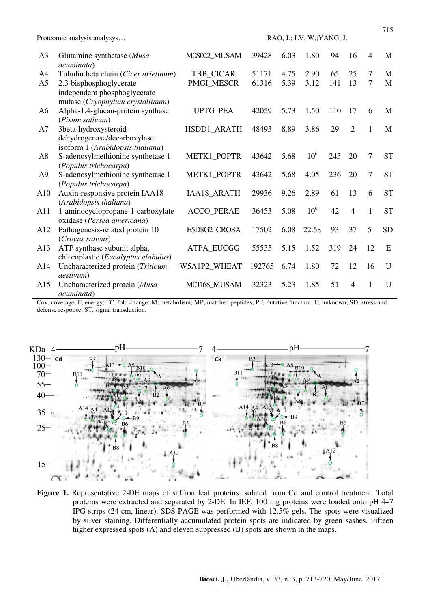|                | Proteomic analysis analysys                                                                  |                   | RAO, J.; LV, W.; YANG, J. |      |                 |     |                |                |           |  |
|----------------|----------------------------------------------------------------------------------------------|-------------------|---------------------------|------|-----------------|-----|----------------|----------------|-----------|--|
| A <sub>3</sub> | Glutamine synthetase (Musa<br>acuminata)                                                     | M0S022_MUSAM      | 39428                     | 6.03 | 1.80            | 94  | 16             | $\overline{4}$ | M         |  |
| A <sub>4</sub> | Tubulin beta chain (Cicer arietinum)                                                         | TBB_CICAR         | 51171                     | 4.75 | 2.90            | 65  | 25             | 7              | M         |  |
| A <sub>5</sub> | 2,3-bisphosphoglycerate-<br>independent phosphoglycerate<br>mutase (Cryophytum crystallinum) | <b>PMGI MESCR</b> | 61316                     | 5.39 | 3.12            | 141 | 13             | 7              | M         |  |
| A <sub>6</sub> | Alpha-1,4-glucan-protein synthase<br>(Pisum sativum)                                         | UPTG_PEA          | 42059                     | 5.73 | 1.50            | 110 | 17             | 6              | M         |  |
| A7             | 3beta-hydroxysteroid-<br>dehydrogenase/decarboxylase<br>isoform 1 (Arabidopsis thaliana)     | HSDD1_ARATH       | 48493                     | 8.89 | 3.86            | 29  | $\overline{2}$ | $\mathbf{1}$   | M         |  |
| A8             | S-adenosylmethionine synthetase 1<br>(Populus trichocarpa)                                   | METK1_POPTR       | 43642                     | 5.68 | 10 <sup>6</sup> | 245 | 20             | $\overline{7}$ | <b>ST</b> |  |
| A <sub>9</sub> | S-adenosylmethionine synthetase 1<br>(Populus trichocarpa)                                   | METK1_POPTR       | 43642                     | 5.68 | 4.05            | 236 | 20             | $\overline{7}$ | <b>ST</b> |  |
| A10            | Auxin-responsive protein IAA18<br>(Arabidopsis thaliana)                                     | IAA18_ARATH       | 29936                     | 9.26 | 2.89            | 61  | 13             | 6              | <b>ST</b> |  |
| A11            | 1-aminocyclopropane-1-carboxylate<br>oxidase (Persea americana)                              | <b>ACCO_PERAE</b> | 36453                     | 5.08 | 10 <sup>6</sup> | 42  | $\overline{4}$ | $\mathbf{1}$   | <b>ST</b> |  |
| A12            | Pathogenesis-related protein 10<br>(Crocus sativus)                                          | E5D8G2_CROSA      | 17502                     | 6.08 | 22.58           | 93  | 37             | 5              | <b>SD</b> |  |
| A13            | ATP synthase subunit alpha,<br>chloroplastic (Eucalyptus globulus)                           | ATPA_EUCGG        | 55535                     | 5.15 | 1.52            | 319 | 24             | 12             | E         |  |
| A14            | Uncharacterized protein (Triticum<br><i>aestivum</i> )                                       | W5A1P2_WHEAT      | 192765                    | 6.74 | 1.80            | 72  | 12             | 16             | U         |  |
| A15            | Uncharacterized protein (Musa<br>acuminata)                                                  | M0TI68_MUSAM      | 32323                     | 5.23 | 1.85            | 51  | $\overline{4}$ | $\mathbf{1}$   | U         |  |

Cov, coverage; E, energy; FC, fold change; M, metabolism; MP, matched peptides; PF, Putative function; U, unknown; SD, stress and defense response; ST, signal transduction.



**Figure 1.** Representative 2-DE maps of saffron leaf proteins isolated from Cd and control treatment. Total proteins were extracted and separated by 2-DE. In IEF, 100 mg proteins were loaded onto pH 4–7 IPG strips (24 cm, linear). SDS-PAGE was performed with 12.5% gels. The spots were visualized by silver staining. Differentially accumulated protein spots are indicated by green sashes. Fifteen higher expressed spots (A) and eleven suppressed (B) spots are shown in the maps.

**Biosci. J.,** Uberlândia, v. 33, n. 3, p. 713-720, May/June. 2017

715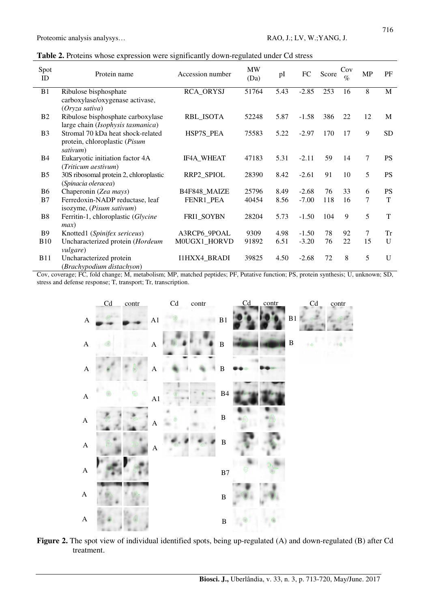| Table 2. Proteins whose expression were significantly down-regulated under Cd stress |
|--------------------------------------------------------------------------------------|
|--------------------------------------------------------------------------------------|

| Spot<br>ID     | Protein name                                                                   | Accession number  | <b>MW</b><br>(Da) | pI   | FC      | Score | Cov<br>$\%$ | <b>MP</b> | PF           |
|----------------|--------------------------------------------------------------------------------|-------------------|-------------------|------|---------|-------|-------------|-----------|--------------|
| B1             | Ribulose bisphosphate<br>carboxylase/oxygenase activase,<br>(Oryza sativa)     | <b>RCA_ORYSJ</b>  | 51764             | 5.43 | $-2.85$ | 253   | 16          | 8         | M            |
| B <sub>2</sub> | Ribulose bisphosphate carboxylase<br>large chain (Isophysis tasmanica)         | <b>RBL_ISOTA</b>  | 52248             | 5.87 | $-1.58$ | 386   | 22          | 12        | M            |
| B <sub>3</sub> | Stromal 70 kDa heat shock-related<br>protein, chloroplastic (Pisum<br>sativum) | HSP7S_PEA         | 75583             | 5.22 | $-2.97$ | 170   | 17          | 9         | <b>SD</b>    |
| <b>B4</b>      | Eukaryotic initiation factor 4A<br>(Triticum aestivum)                         | <b>IF4A WHEAT</b> | 47183             | 5.31 | $-2.11$ | 59    | 14          | 7         | <b>PS</b>    |
| B <sub>5</sub> | 30S ribosomal protein 2, chloroplastic<br>(Spinacia oleracea)                  | RRP2_SPIOL        | 28390             | 8.42 | $-2.61$ | 91    | 10          | 5         | <b>PS</b>    |
| <b>B6</b>      | Chaperonin (Zea mays)                                                          | B4F848_MAIZE      | 25796             | 8.49 | $-2.68$ | 76    | 33          | 6         | <b>PS</b>    |
| B7             | Ferredoxin-NADP reductase, leaf<br>isozyme, (Pisum sativum)                    | FENR1_PEA         | 40454             | 8.56 | $-7.00$ | 118   | 16          | 7         | T            |
| B8             | Ferritin-1, chloroplastic (Glycine<br>max)                                     | FRI1_SOYBN        | 28204             | 5.73 | $-1.50$ | 104   | 9           | 5         | T            |
| <b>B</b> 9     | Knotted1 (Spinifex sericeus)                                                   | A3RCP6_9POAL      | 9309              | 4.98 | $-1.50$ | 78    | 92          | 7         | Tr           |
| <b>B10</b>     | Uncharacterized protein (Hordeum<br><i>vulgare</i> )                           | M0UGX1_HORVD      | 91892             | 6.51 | $-3.20$ | 76    | 22          | 15        | $\mathbf{U}$ |
| <b>B11</b>     | Uncharacterized protein<br>(Brachypodium distachyon)                           | I1HXX4_BRADI      | 39825             | 4.50 | $-2.68$ | 72    | 8           | 5         | $\mathbf{U}$ |

Cov, coverage; FC, fold change; M, metabolism; MP, matched peptides; PF, Putative function; PS, protein synthesis; U, unknown; SD, stress and defense response; T, transport; Tr, transcription.



**Figure 2.** The spot view of individual identified spots, being up-regulated (A) and down-regulated (B) after Cd treatment.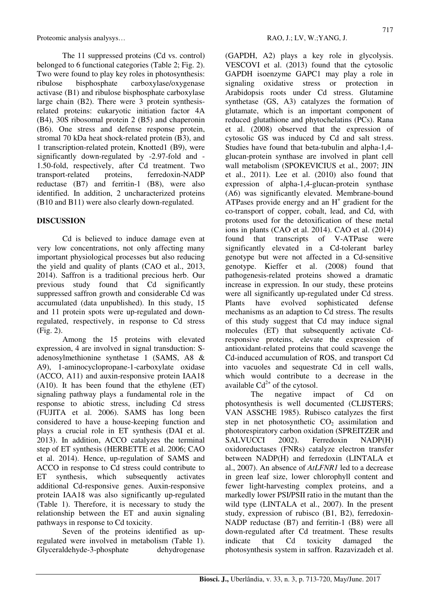Proteomic analysis analysys... RAO, J.; LV, W.; YANG, J.

The 11 suppressed proteins (Cd vs. control) belonged to 6 functional categories (Table 2; Fig. 2). Two were found to play key roles in photosynthesis: ribulose bisphosphate carboxylase/oxygenase activase (B1) and ribulose bisphosphate carboxylase large chain (B2). There were 3 protein synthesisrelated proteins: eukaryotic initiation factor 4A (B4), 30S ribosomal protein 2 (B5) and chaperonin (B6). One stress and defense response protein, stromal 70 kDa heat shock-related protein (B3), and 1 transcription-related protein, Knotted1 (B9), were significantly down-regulated by -2.97-fold and - 1.50-fold, respectively, after Cd treatment. Two transport-related proteins, ferredoxin-NADP reductase (B7) and ferritin-1 (B8), were also identified. In addition, 2 uncharacterized proteins (B10 and B11) were also clearly down-regulated.

## **DISCUSSION**

Cd is believed to induce damage even at very low concentrations, not only affecting many important physiological processes but also reducing the yield and quality of plants (CAO et al., 2013, 2014). Saffron is a traditional precious herb. Our previous study found that Cd significantly suppressed saffron growth and considerable Cd was accumulated (data unpublished). In this study, 15 and 11 protein spots were up-regulated and downregulated, respectively, in response to Cd stress (Fig. 2).

Among the 15 proteins with elevated expression, 4 are involved in signal transduction: Sadenosylmethionine synthetase 1 (SAMS, A8 & A9), 1-aminocyclopropane-1-carboxylate oxidase (ACCO, A11) and auxin-responsive protein IAA18 (A10). It has been found that the ethylene (ET) signaling pathway plays a fundamental role in the response to abiotic stress, including Cd stress (FUJITA et al. 2006). SAMS has long been considered to have a house-keeping function and plays a crucial role in ET synthesis (DAI et al. 2013). In addition, ACCO catalyzes the terminal step of ET synthesis (HERBETTE et al. 2006; CAO et al. 2014). Hence, up-regulation of SAMS and ACCO in response to Cd stress could contribute to ET synthesis, which subsequently activates additional Cd-responsive genes. Auxin-responsive protein IAA18 was also significantly up-regulated (Table 1). Therefore, it is necessary to study the relationship between the ET and auxin signaling pathways in response to Cd toxicity.

Seven of the proteins identified as upregulated were involved in metabolism (Table 1). Glyceraldehyde-3-phosphate dehydrogenase (GAPDH, A2) plays a key role in glycolysis. VESCOVI et al. (2013) found that the cytosolic GAPDH isoenzyme GAPC1 may play a role in signaling oxidative stress or protection in Arabidopsis roots under Cd stress. Glutamine synthetase (GS, A3) catalyzes the formation of glutamate, which is an important component of reduced glutathione and phytochelatins (PCs). Rana et al. (2008) observed that the expression of cytosolic GS was induced by Cd and salt stress. Studies have found that beta-tubulin and alpha-1,4 glucan-protein synthase are involved in plant cell wall metabolism (SPOKEVICIUS et al., 2007; JIN et al., 2011). Lee et al. (2010) also found that expression of alpha-1,4-glucan-protein synthase (A6) was significantly elevated. Membrane-bound ATPases provide energy and an  $H<sup>+</sup>$  gradient for the co-transport of copper, cobalt, lead, and Cd, with protons used for the detoxification of these metal ions in plants (CAO et al. 2014). CAO et al. (2014) found that transcripts of V-ATPase were significantly elevated in a Cd-tolerant barley genotype but were not affected in a Cd-sensitive genotype. Kieffer et al. (2008) found that pathogenesis-related proteins showed a dramatic increase in expression. In our study, these proteins were all significantly up-regulated under Cd stress. Plants have evolved sophisticated defense mechanisms as an adaption to Cd stress. The results of this study suggest that Cd may induce signal molecules (ET) that subsequently activate Cdresponsive proteins, elevate the expression of antioxidant-related proteins that could scavenge the Cd-induced accumulation of ROS, and transport Cd into vacuoles and sequestrate Cd in cell walls, which would contribute to a decrease in the available  $Cd^{2+}$  of the cytosol.

The negative impact of Cd on photosynthesis is well documented (CLIJSTERS; VAN ASSCHE 1985). Rubisco catalyzes the first step in net photosynthetic  $CO<sub>2</sub>$  assimilation and photorespiratory carbon oxidation (SPREITZER and SALVUCCI 2002). Ferredoxin NADP(H) oxidoreductases (FNRs) catalyze electron transfer between NADP(H) and ferredoxin (LINTALA et al., 2007). An absence of *AtLFNR1* led to a decrease in green leaf size, lower chlorophyll content and fewer light-harvesting complex proteins, and a markedly lower PSI/PSII ratio in the mutant than the wild type (LINTALA et al., 2007). In the present study, expression of rubisco (B1, B2), ferredoxin-NADP reductase (B7) and ferritin-1 (B8) were all down-regulated after Cd treatment. These results indicate that Cd toxicity damaged the photosynthesis system in saffron. Razavizadeh et al.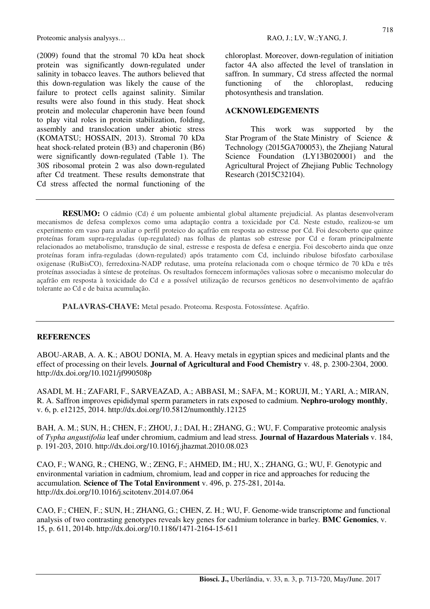Proteomic analysis analysys... RAO, J.; LV, W.; YANG, J.

(2009) found that the stromal 70 kDa heat shock protein was significantly down-regulated under salinity in tobacco leaves. The authors believed that this down-regulation was likely the cause of the failure to protect cells against salinity. Similar results were also found in this study. Heat shock protein and molecular chaperonin have been found to play vital roles in protein stabilization, folding, assembly and translocation under abiotic stress (KOMATSU; HOSSAIN, 2013). Stromal 70 kDa heat shock-related protein (B3) and chaperonin (B6) were significantly down-regulated (Table 1). The 30S ribosomal protein 2 was also down-regulated after Cd treatment. These results demonstrate that Cd stress affected the normal functioning of the chloroplast. Moreover, down-regulation of initiation factor 4A also affected the level of translation in saffron. In summary, Cd stress affected the normal functioning of the chloroplast, reducing photosynthesis and translation.

#### **ACKNOWLEDGEMENTS**

This work was supported by the Star Program of the State Ministry of Science & Technology (2015GA700053), the Zhejiang Natural Science Foundation (LY13B020001) and the Agricultural Project of Zhejiang Public Technology Research (2015C32104).

**RESUMO:** O cádmio (Cd) é um poluente ambiental global altamente prejudicial. As plantas desenvolveram mecanismos de defesa complexos como uma adaptação contra a toxicidade por Cd. Neste estudo, realizou-se um experimento em vaso para avaliar o perfil proteico do açafrão em resposta ao estresse por Cd. Foi descoberto que quinze proteínas foram supra-reguladas (up-regulated) nas folhas de plantas sob estresse por Cd e foram principalmente relacionados ao metabolismo, transdução de sinal, estresse e resposta de defesa e energia. Foi descoberto ainda que onze proteínas foram infra-reguladas (down-regulated) após tratamento com Cd, incluindo ribulose bifosfato carboxilase oxigenase (RuBisCO), ferredoxina-NADP redutase, uma proteína relacionada com o choque térmico de 70 kDa e três proteínas associadas à síntese de proteínas. Os resultados fornecem informações valiosas sobre o mecanismo molecular do açafrão em resposta à toxicidade do Cd e a possível utilização de recursos genéticos no desenvolvimento de açafrão tolerante ao Cd e de baixa acumulação.

**PALAVRAS-CHAVE:** Metal pesado. Proteoma. Resposta. Fotossíntese. Açafrão.

#### **REFERENCES**

ABOU-ARAB, A. A. K.; ABOU DONIA, M. A. Heavy metals in egyptian spices and medicinal plants and the effect of processing on their levels*.* **Journal of Agricultural and Food Chemistry** v. 48, p. 2300-2304, 2000. http://dx.doi.org/10.1021/jf990508p

ASADI, M. H.; ZAFARI, F., SARVEAZAD, A.; ABBASI, M.; SAFA, M.; KORUJI, M.; YARI, A.; MIRAN, R. A. Saffron improves epididymal sperm parameters in rats exposed to cadmium. **Nephro-urology monthly**, v. 6, p. e12125, 2014. http://dx.doi.org/10.5812/numonthly.12125

BAH, A. M.; SUN, H.; CHEN, F.; ZHOU, J.; DAI, H.; ZHANG, G.; WU, F. Comparative proteomic analysis of *Typha angustifolia* leaf under chromium, cadmium and lead stress*.* **Journal of Hazardous Materials** v. 184, p. 191-203, 2010. http://dx.doi.org/10.1016/j.jhazmat.2010.08.023

CAO, F.; WANG, R.; CHENG, W.; ZENG, F.; AHMED, IM.; HU, X.; ZHANG, G.; WU, F. Genotypic and environmental variation in cadmium, chromium, lead and copper in rice and approaches for reducing the accumulation*.* **Science of The Total Environment** v. 496, p. 275-281, 2014a. http://dx.doi.org/10.1016/j.scitotenv.2014.07.064

CAO, F.; CHEN, F.; SUN, H.; ZHANG, G.; CHEN, Z. H.; WU, F. Genome-wide transcriptome and functional analysis of two contrasting genotypes reveals key genes for cadmium tolerance in barley*.* **BMC Genomics**, v. 15, p. 611, 2014b. http://dx.doi.org/10.1186/1471-2164-15-611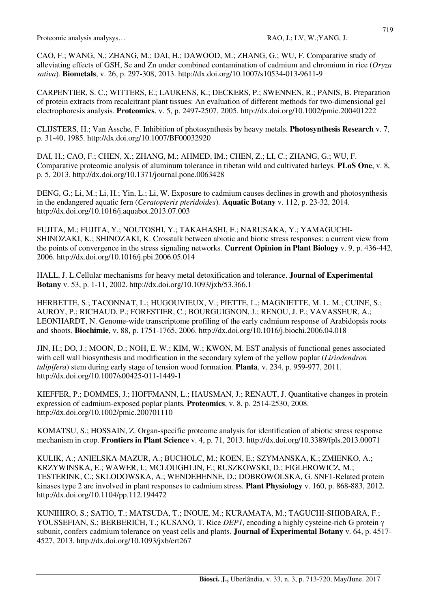CAO, F.; WANG, N.; ZHANG, M.; DAI, H.; DAWOOD, M.; ZHANG, G.; WU, F. Comparative study of alleviating effects of GSH, Se and Zn under combined contamination of cadmium and chromium in rice (*Oryza sativa*)*.* **Biometals**, v. 26, p. 297-308, 2013. http://dx.doi.org/10.1007/s10534-013-9611-9

CARPENTIER, S. C.; WITTERS, E.; LAUKENS, K.; DECKERS, P.; SWENNEN, R.; PANIS, B. Preparation of protein extracts from recalcitrant plant tissues: An evaluation of different methods for two-dimensional gel electrophoresis analysis*.* **Proteomics**, v. 5, p. 2497-2507, 2005. http://dx.doi.org/10.1002/pmic.200401222

CLIJSTERS, H.; Van Assche, F. Inhibition of photosynthesis by heavy metals*.* **Photosynthesis Research** v. 7, p. 31-40, 1985. http://dx.doi.org/10.1007/BF00032920

DAI, H.; CAO, F.; CHEN, X.; ZHANG, M.; AHMED, IM.; CHEN, Z.; LI, C.; ZHANG, G.; WU, F. Comparative proteomic analysis of aluminum tolerance in tibetan wild and cultivated barleys*.* **PLoS One**, v. 8, p. 5, 2013. http://dx.doi.org/10.1371/journal.pone.0063428

DENG, G.; Li, M.; Li, H.; Yin, L.; Li, W. Exposure to cadmium causes declines in growth and photosynthesis in the endangered aquatic fern (*Ceratopteris pteridoides*)*.* **Aquatic Botany** v. 112, p. 23-32, 2014. http://dx.doi.org/10.1016/j.aquabot.2013.07.003

FUJITA, M.; FUJITA, Y.; NOUTOSHI, Y.; TAKAHASHI, F.; NARUSAKA, Y.; YAMAGUCHI-SHINOZAKI, K.; SHINOZAKI, K. Crosstalk between abiotic and biotic stress responses: a current view from the points of convergence in the stress signaling networks*.* **Current Opinion in Plant Biology** v. 9, p. 436-442, 2006. http://dx.doi.org/10.1016/j.pbi.2006.05.014

HALL, J. L.Cellular mechanisms for heavy metal detoxification and tolerance. **Journal of Experimental Botany** v. 53, p. 1-11, 2002. http://dx.doi.org/10.1093/jxb/53.366.1

HERBETTE, S.; TACONNAT, L.; HUGOUVIEUX, V.; PIETTE, L.; MAGNIETTE, M. L. M.; CUINE, S.; AUROY, P.; RICHAUD, P.; FORESTIER, C.; BOURGUIGNON, J.; RENOU, J. P.; VAVASSEUR, A.; LEONHARDT, N. Genome-wide transcriptome profiling of the early cadmium response of Arabidopsis roots and shoots*.* **Biochimie**, v. 88, p. 1751-1765, 2006. http://dx.doi.org/10.1016/j.biochi.2006.04.018

JIN, H.; DO, J.; MOON, D.; NOH, E. W.; KIM, W.; KWON, M. EST analysis of functional genes associated with cell wall biosynthesis and modification in the secondary xylem of the yellow poplar (*Liriodendron tulipifera*) stem during early stage of tension wood formation*.* **Planta**, v. 234, p. 959-977, 2011. http://dx.doi.org/10.1007/s00425-011-1449-1

KIEFFER, P.; DOMMES, J.; HOFFMANN, L.; HAUSMAN, J.; RENAUT, J. Quantitative changes in protein expression of cadmium-exposed poplar plants*.* **Proteomics**, v. 8, p. 2514-2530, 2008. http://dx.doi.org/10.1002/pmic.200701110

KOMATSU, S.; HOSSAIN, Z. Organ-specific proteome analysis for identification of abiotic stress response mechanism in crop. **Frontiers in Plant Science** v. 4, p. 71, 2013. http://dx.doi.org/10.3389/fpls.2013.00071

KULIK, A.; ANIELSKA-MAZUR, A.; BUCHOLC, M.; KOEN, E.; SZYMANSKA, K.; ZMIENKO, A.; KRZYWINSKA, E.; WAWER, I.; MCLOUGHLIN, F.; RUSZKOWSKI, D.; FIGLEROWICZ, M.; TESTERINK, C.; SKLODOWSKA, A.; WENDEHENNE, D.; DOBROWOLSKA, G. SNF1-Related protein kinases type 2 are involved in plant responses to cadmium stress*.* **Plant Physiology** v. 160, p. 868-883, 2012. http://dx.doi.org/10.1104/pp.112.194472

KUNIHIRO, S.; SATIO, T.; MATSUDA, T.; INOUE, M.; KURAMATA, M.; TAGUCHI-SHIOBARA, F.; YOUSSEFIAN, S.; BERBERICH, T.; KUSANO, T. Rice *DEP1*, encoding a highly cysteine-rich G protein γ subunit, confers cadmium tolerance on yeast cells and plants. **Journal of Experimental Botany** v. 64, p. 4517- 4527, 2013. http://dx.doi.org/10.1093/jxb/ert267